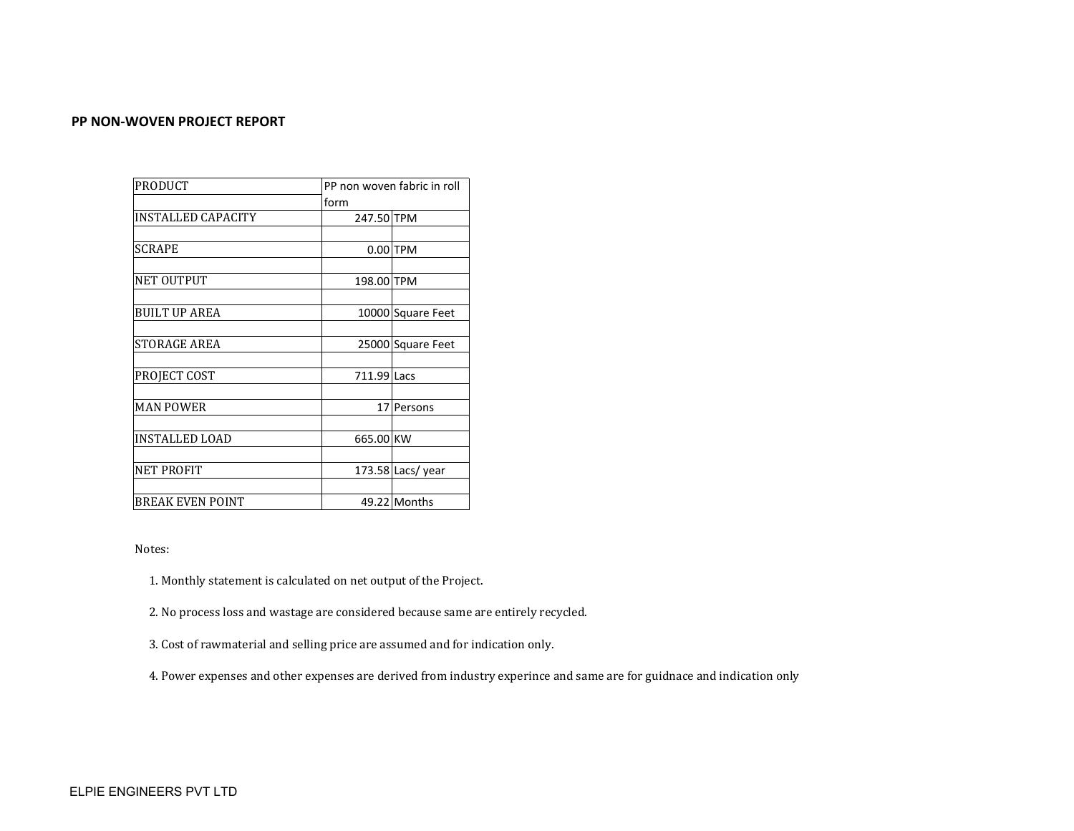### **PP NON-WOVEN PROJECT REPORT**

| <b>PRODUCT</b>          |                 | PP non woven fabric in roll |  |  |  |
|-------------------------|-----------------|-----------------------------|--|--|--|
|                         | form            |                             |  |  |  |
| INSTALLED CAPACITY      | 247.50 TPM      |                             |  |  |  |
|                         |                 |                             |  |  |  |
| <b>SCRAPE</b>           |                 | $0.00$ TPM                  |  |  |  |
|                         |                 |                             |  |  |  |
| <b>NET OUTPUT</b>       | 198.00 TPM      |                             |  |  |  |
|                         |                 |                             |  |  |  |
| <b>BUILT UP AREA</b>    |                 | 10000 Square Feet           |  |  |  |
|                         |                 |                             |  |  |  |
| <b>STORAGE AREA</b>     |                 | 25000 Square Feet           |  |  |  |
|                         |                 |                             |  |  |  |
| PROJECT COST            | 711.99 Lacs     |                             |  |  |  |
|                         |                 |                             |  |  |  |
| <b>MAN POWER</b>        | 17 <sup>1</sup> | Persons                     |  |  |  |
|                         |                 |                             |  |  |  |
| <b>INSTALLED LOAD</b>   | 665.00 KW       |                             |  |  |  |
|                         |                 |                             |  |  |  |
| NET PROFIT              |                 | 173.58 Lacs/year            |  |  |  |
|                         |                 |                             |  |  |  |
| <b>BREAK EVEN POINT</b> |                 | 49.22 Months                |  |  |  |

Notes:

1. Monthly statement is calculated on net output of the Project.

2. No process loss and wastage are considered because same are entirely recycled.

3. Cost of rawmaterial and selling price are assumed and for indication only.

4. Power expenses and other expenses are derived from industry experince and same are for guidnace and indication only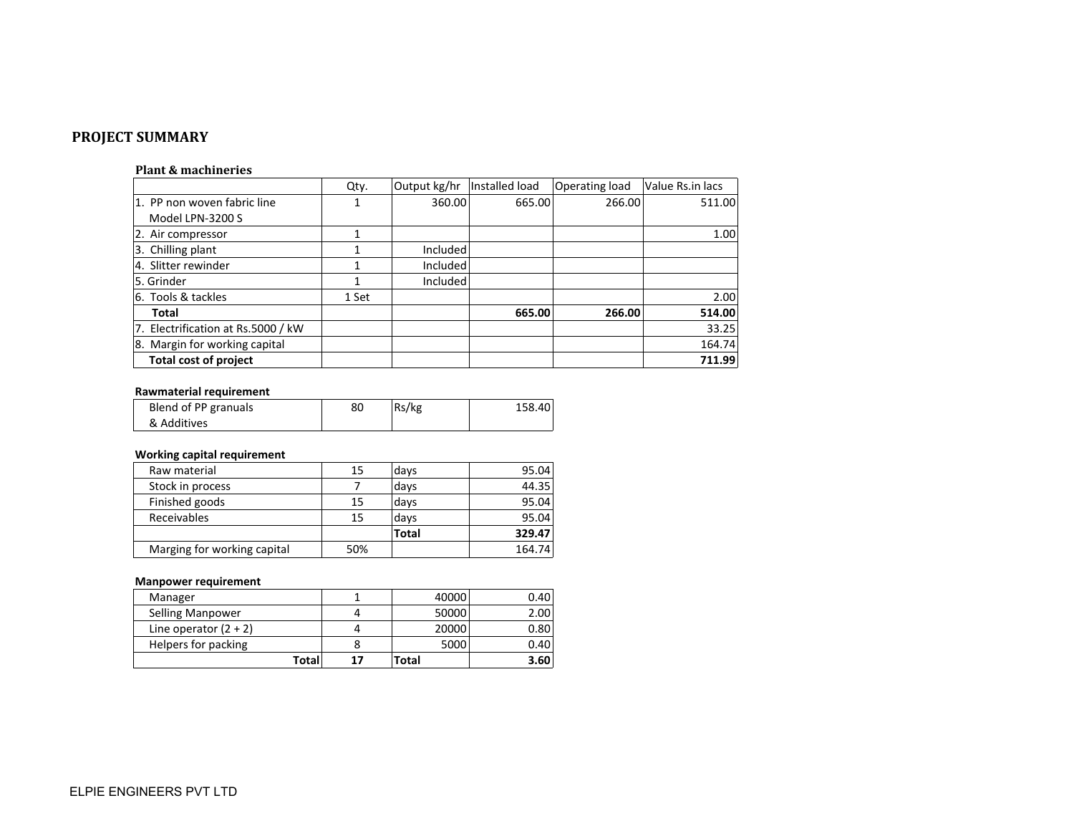# **PROJECT SUMMARY**

#### **Plant & machineries**

|                                    | Qty.  | Output kg/hr | Installed load | Operating load | Value Rs.in lacs |
|------------------------------------|-------|--------------|----------------|----------------|------------------|
| 1. PP non woven fabric line        |       | 360.00       | 665.00         | 266.00         | 511.00           |
| Model LPN-3200 S                   |       |              |                |                |                  |
| 2. Air compressor                  |       |              |                |                | 1.00             |
| 3. Chilling plant                  |       | Included     |                |                |                  |
| 4. Slitter rewinder                |       | Included     |                |                |                  |
| 5. Grinder                         |       | Included     |                |                |                  |
| 6. Tools & tackles                 | 1 Set |              |                |                | 2.00             |
| Total                              |       |              | 665.00         | 266.00         | 514.00           |
| 7. Electrification at Rs.5000 / kW |       |              |                |                | 33.25            |
| 8. Margin for working capital      |       |              |                |                | 164.74           |
| <b>Total cost of project</b>       |       |              |                |                | 711.99           |

#### **Rawmaterial requirement**

| Blend of PP granuals | 80 | Rs/kg | 158.40 |
|----------------------|----|-------|--------|
| & Additives          |    |       |        |

# **Working capital requirement**

| 15  | days         | 95.04  |
|-----|--------------|--------|
|     | days         | 44.35  |
| 15  | days         | 95.04  |
| 15  | days         | 95.04  |
|     | <b>Total</b> | 329.47 |
| 50% |              | 164.74 |
|     |              |        |

# **Manpower requirement**

| Manager                 |    | 40000 | 0.40 |
|-------------------------|----|-------|------|
| <b>Selling Manpower</b> |    | 50000 | 2.00 |
| Line operator $(2 + 2)$ |    | 20000 | 0.80 |
| Helpers for packing     |    | 5000  | 0.40 |
| Totall                  | 17 | Total | 3.60 |